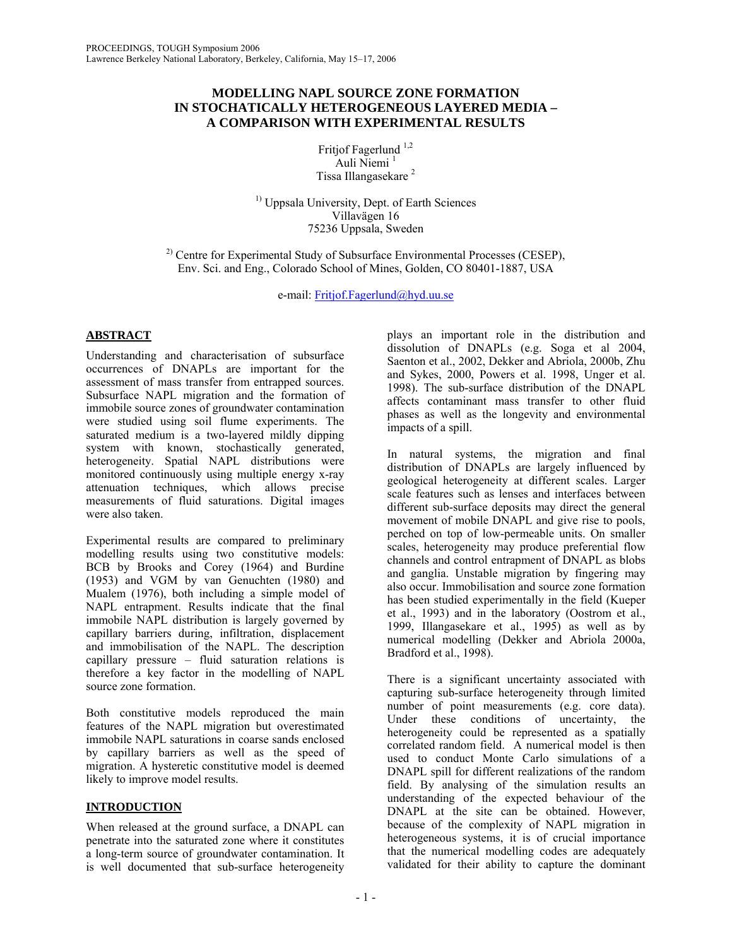# **MODELLING NAPL SOURCE ZONE FORMATION IN STOCHATICALLY HETEROGENEOUS LAYERED MEDIA – A COMPARISON WITH EXPERIMENTAL RESULTS**

Fritjof Fagerlund<sup>1,2</sup> Auli Niemi<sup>1</sup> Tissa Illangasekare 2

<sup>1)</sup> Uppsala University, Dept. of Earth Sciences Villavägen 16 75236 Uppsala, Sweden

 $^{2)}$  Centre for Experimental Study of Subsurface Environmental Processes (CESEP), Env. Sci. and Eng., Colorado School of Mines, Golden, CO 80401-1887, USA

e-mail: Fritjof.Fagerlund@hyd.uu.se

# **ABSTRACT**

Understanding and characterisation of subsurface occurrences of DNAPLs are important for the assessment of mass transfer from entrapped sources. Subsurface NAPL migration and the formation of immobile source zones of groundwater contamination were studied using soil flume experiments. The saturated medium is a two-layered mildly dipping system with known, stochastically generated, heterogeneity. Spatial NAPL distributions were monitored continuously using multiple energy x-ray attenuation techniques, which allows precise measurements of fluid saturations. Digital images were also taken.

Experimental results are compared to preliminary modelling results using two constitutive models: BCB by Brooks and Corey (1964) and Burdine (1953) and VGM by van Genuchten (1980) and Mualem (1976), both including a simple model of NAPL entrapment. Results indicate that the final immobile NAPL distribution is largely governed by capillary barriers during, infiltration, displacement and immobilisation of the NAPL. The description capillary pressure – fluid saturation relations is therefore a key factor in the modelling of NAPL source zone formation.

Both constitutive models reproduced the main features of the NAPL migration but overestimated immobile NAPL saturations in coarse sands enclosed by capillary barriers as well as the speed of migration. A hysteretic constitutive model is deemed likely to improve model results.

## **INTRODUCTION**

When released at the ground surface, a DNAPL can penetrate into the saturated zone where it constitutes a long-term source of groundwater contamination. It is well documented that sub-surface heterogeneity

plays an important role in the distribution and dissolution of DNAPLs (e.g. Soga et al 2004, Saenton et al., 2002, Dekker and Abriola, 2000b, Zhu and Sykes, 2000, Powers et al. 1998, Unger et al. 1998). The sub-surface distribution of the DNAPL affects contaminant mass transfer to other fluid phases as well as the longevity and environmental impacts of a spill.

In natural systems, the migration and final distribution of DNAPLs are largely influenced by geological heterogeneity at different scales. Larger scale features such as lenses and interfaces between different sub-surface deposits may direct the general movement of mobile DNAPL and give rise to pools, perched on top of low-permeable units. On smaller scales, heterogeneity may produce preferential flow channels and control entrapment of DNAPL as blobs and ganglia. Unstable migration by fingering may also occur. Immobilisation and source zone formation has been studied experimentally in the field (Kueper et al., 1993) and in the laboratory (Oostrom et al., 1999, Illangasekare et al., 1995) as well as by numerical modelling (Dekker and Abriola 2000a, Bradford et al., 1998).

There is a significant uncertainty associated with capturing sub-surface heterogeneity through limited number of point measurements (e.g. core data). Under these conditions of uncertainty, the heterogeneity could be represented as a spatially correlated random field. A numerical model is then used to conduct Monte Carlo simulations of a DNAPL spill for different realizations of the random field. By analysing of the simulation results an understanding of the expected behaviour of the DNAPL at the site can be obtained. However, because of the complexity of NAPL migration in heterogeneous systems, it is of crucial importance that the numerical modelling codes are adequately validated for their ability to capture the dominant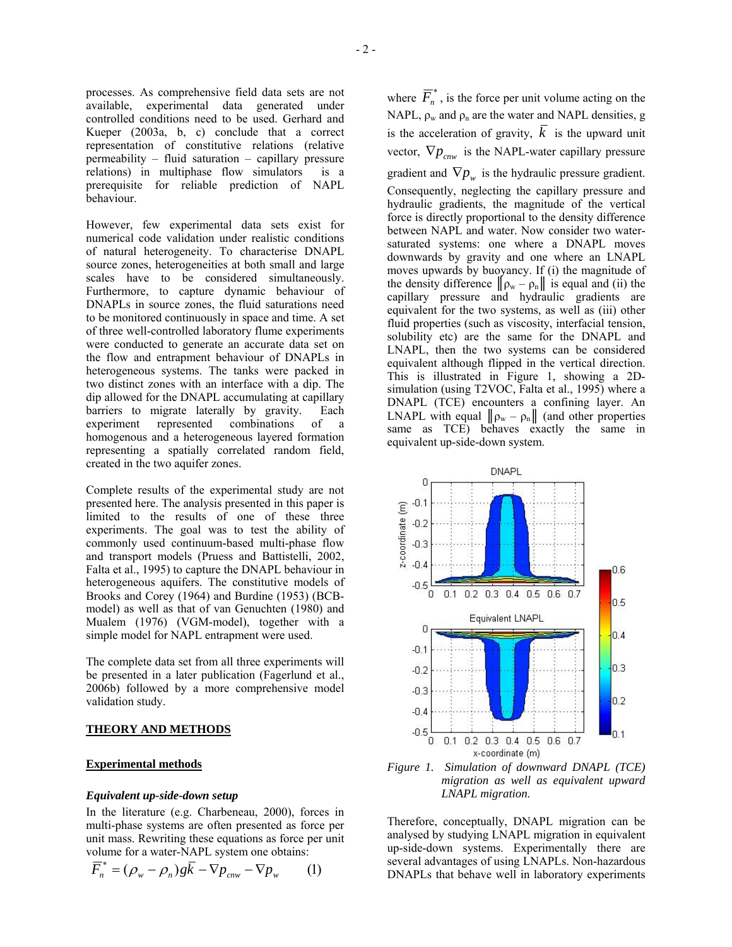processes. As comprehensive field data sets are not available, experimental data generated under controlled conditions need to be used. Gerhard and Kueper (2003a, b, c) conclude that a correct representation of constitutive relations (relative permeability – fluid saturation – capillary pressure relations) in multiphase flow simulators is a prerequisite for reliable prediction of NAPL behaviour.

However, few experimental data sets exist for numerical code validation under realistic conditions of natural heterogeneity. To characterise DNAPL source zones, heterogeneities at both small and large scales have to be considered simultaneously. Furthermore, to capture dynamic behaviour of DNAPLs in source zones, the fluid saturations need to be monitored continuously in space and time. A set of three well-controlled laboratory flume experiments were conducted to generate an accurate data set on the flow and entrapment behaviour of DNAPLs in heterogeneous systems. The tanks were packed in two distinct zones with an interface with a dip. The dip allowed for the DNAPL accumulating at capillary barriers to migrate laterally by gravity. Each experiment represented combinations of a homogenous and a heterogeneous layered formation representing a spatially correlated random field, created in the two aquifer zones.

Complete results of the experimental study are not presented here. The analysis presented in this paper is limited to the results of one of these three experiments. The goal was to test the ability of commonly used continuum-based multi-phase flow and transport models (Pruess and Battistelli, 2002, Falta et al., 1995) to capture the DNAPL behaviour in heterogeneous aquifers. The constitutive models of Brooks and Corey (1964) and Burdine (1953) (BCBmodel) as well as that of van Genuchten (1980) and Mualem (1976) (VGM-model), together with a simple model for NAPL entrapment were used.

The complete data set from all three experiments will be presented in a later publication (Fagerlund et al., 2006b) followed by a more comprehensive model validation study.

## **THEORY AND METHODS**

## **Experimental methods**

## *Equivalent up-side-down setup*

In the literature (e.g. Charbeneau, 2000), forces in multi-phase systems are often presented as force per unit mass. Rewriting these equations as force per unit volume for a water-NAPL system one obtains:

$$
\overline{F}_n^* = (\rho_w - \rho_n) g \overline{k} - \nabla p_{\text{env}} - \nabla p_w \qquad (1)
$$

where  $\overline{F}_n^*$ , is the force per unit volume acting on the NAPL,  $\rho_w$  and  $\rho_n$  are the water and NAPL densities, g is the acceleration of gravity,  $\overline{k}$  is the upward unit vector,  $\nabla p_{c n w}$  is the NAPL-water capillary pressure gradient and  $\nabla p_w$  is the hydraulic pressure gradient. Consequently, neglecting the capillary pressure and hydraulic gradients, the magnitude of the vertical force is directly proportional to the density difference between NAPL and water. Now consider two watersaturated systems: one where a DNAPL moves downwards by gravity and one where an LNAPL moves upwards by buoyancy. If (i) the magnitude of the density difference  $\|\rho_w - \rho_n\|$  is equal and (ii) the capillary pressure and hydraulic gradients are equivalent for the two systems, as well as (iii) other fluid properties (such as viscosity, interfacial tension, solubility etc) are the same for the DNAPL and LNAPL, then the two systems can be considered equivalent although flipped in the vertical direction. This is illustrated in Figure 1, showing a 2Dsimulation (using T2VOC, Falta et al., 1995) where a DNAPL (TCE) encounters a confining layer. An LNAPL with equal  $\|\rho_w - \rho_n\|$  (and other properties same as TCE) behaves exactly the same in equivalent up-side-down system.



*migration as well as equivalent upward LNAPL migration.* 

Therefore, conceptually, DNAPL migration can be analysed by studying LNAPL migration in equivalent up-side-down systems. Experimentally there are several advantages of using LNAPLs. Non-hazardous DNAPLs that behave well in laboratory experiments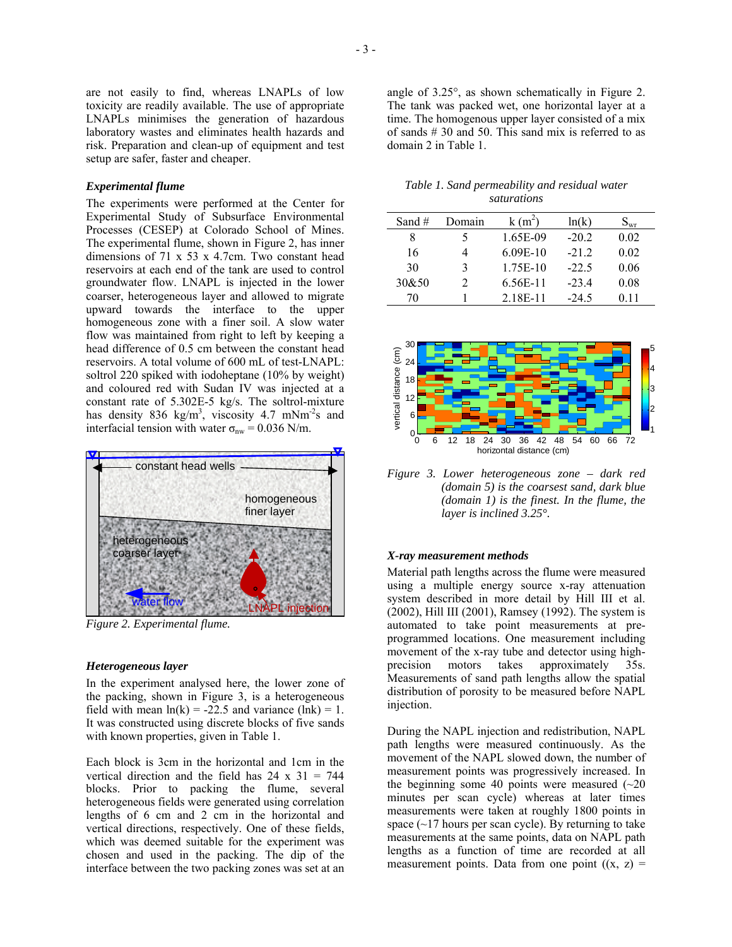are not easily to find, whereas LNAPLs of low toxicity are readily available. The use of appropriate LNAPLs minimises the generation of hazardous laboratory wastes and eliminates health hazards and risk. Preparation and clean-up of equipment and test setup are safer, faster and cheaper.

### *Experimental flume*

The experiments were performed at the Center for Experimental Study of Subsurface Environmental Processes (CESEP) at Colorado School of Mines. The experimental flume, shown in Figure 2, has inner dimensions of 71 x 53 x 4.7cm. Two constant head reservoirs at each end of the tank are used to control groundwater flow. LNAPL is injected in the lower coarser, heterogeneous layer and allowed to migrate upward towards the interface to the upper homogeneous zone with a finer soil. A slow water flow was maintained from right to left by keeping a head difference of 0.5 cm between the constant head reservoirs. A total volume of 600 mL of test-LNAPL: soltrol 220 spiked with iodoheptane (10% by weight) and coloured red with Sudan IV was injected at a constant rate of 5.302E-5 kg/s. The soltrol-mixture has density 836 kg/m<sup>3</sup>, viscosity 4.7 mNm<sup>-2</sup>s and interfacial tension with water  $\sigma_{nw} = 0.036$  N/m.



*Figure 2. Experimental flume.* 

#### *Heterogeneous layer*

In the experiment analysed here, the lower zone of the packing, shown in Figure 3, is a heterogeneous field with mean  $ln(k) = -22.5$  and variance (lnk) = 1. It was constructed using discrete blocks of five sands with known properties, given in Table 1.

Each block is 3cm in the horizontal and 1cm in the vertical direction and the field has 24 x 31 = 744 blocks. Prior to packing the flume, several heterogeneous fields were generated using correlation lengths of 6 cm and 2 cm in the horizontal and vertical directions, respectively. One of these fields, which was deemed suitable for the experiment was chosen and used in the packing. The dip of the interface between the two packing zones was set at an angle of 3.25°, as shown schematically in Figure 2. The tank was packed wet, one horizontal layer at a time. The homogenous upper layer consisted of a mix of sands # 30 and 50. This sand mix is referred to as domain 2 in Table 1.

|  |  |             | Table 1. Sand permeability and residual water |  |
|--|--|-------------|-----------------------------------------------|--|
|  |  | saturations |                                               |  |

| Sand $#$ | Domain        | $k(m^2)$   | ln(k)   | $\mathrm{S}_{\mathrm{wr}}$ |
|----------|---------------|------------|---------|----------------------------|
| 8        | 5             | 1.65E-09   | $-20.2$ | 0.02                       |
| 16       |               | $6.09E-10$ | $-212$  | 0.02                       |
| 30       | 3             | 1.75E-10   | $-22.5$ | 0.06                       |
| 30&50    | $\mathcal{L}$ | 6.56E-11   | $-23.4$ | 0.08                       |
| 70       |               | 2.18E-11   | $-24.5$ | 011                        |



*Figure 3. Lower heterogeneous zone – dark red (domain 5) is the coarsest sand, dark blue (domain 1) is the finest. In the flume, the layer is inclined 3.25°.* 

#### *X-ray measurement methods*

Material path lengths across the flume were measured using a multiple energy source x-ray attenuation system described in more detail by Hill III et al. (2002), Hill III (2001), Ramsey (1992). The system is automated to take point measurements at preprogrammed locations. One measurement including movement of the x-ray tube and detector using highprecision motors takes approximately 35s. Measurements of sand path lengths allow the spatial distribution of porosity to be measured before NAPL injection.

During the NAPL injection and redistribution, NAPL path lengths were measured continuously. As the movement of the NAPL slowed down, the number of measurement points was progressively increased. In the beginning some 40 points were measured  $(\sim 20)$ minutes per scan cycle) whereas at later times measurements were taken at roughly 1800 points in space  $(\sim 17$  hours per scan cycle). By returning to take measurements at the same points, data on NAPL path lengths as a function of time are recorded at all measurement points. Data from one point  $((x, z) =$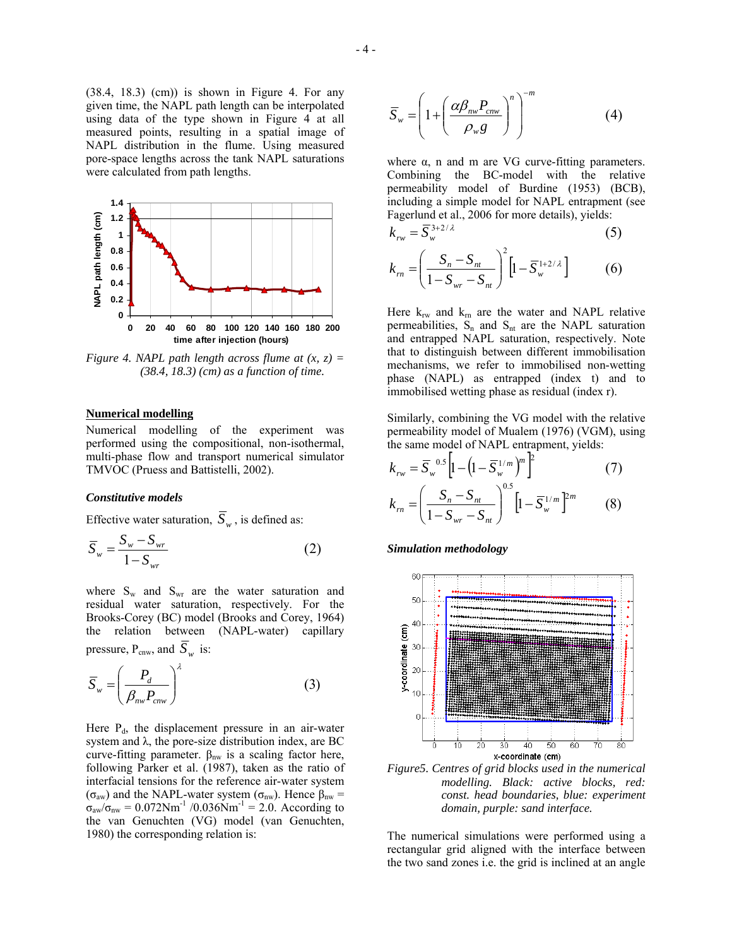(38.4, 18.3) (cm)) is shown in Figure 4. For any given time, the NAPL path length can be interpolated using data of the type shown in Figure 4 at all measured points, resulting in a spatial image of NAPL distribution in the flume. Using measured pore-space lengths across the tank NAPL saturations were calculated from path lengths.



*Figure 4. NAPL path length across flume at*  $(x, z) =$ *(38.4, 18.3) (cm) as a function of time.* 

#### **Numerical modelling**

Numerical modelling of the experiment was performed using the compositional, non-isothermal, multi-phase flow and transport numerical simulator TMVOC (Pruess and Battistelli, 2002).

#### *Constitutive models*

Effective water saturation,  $\overline{S}_w$ , is defined as:

$$
\overline{S}_{w} = \frac{S_{w} - S_{wr}}{1 - S_{wr}}
$$
\n(2)

where  $S_w$  and  $S_{wr}$  are the water saturation and residual water saturation, respectively. For the Brooks-Corey (BC) model (Brooks and Corey, 1964) the relation between (NAPL-water) capillary pressure,  $P_{\text{cnw}}$ , and  $\overline{S}_w$  is:

$$
\overline{S}_{w} = \left(\frac{P_d}{\beta_{nw} P_{cnw}}\right)^{\lambda}
$$
 (3)

Here  $P_d$ , the displacement pressure in an air-water system and  $\lambda$ , the pore-size distribution index, are BC curve-fitting parameter.  $β<sub>nw</sub>$  is a scaling factor here, following Parker et al. (1987), taken as the ratio of interfacial tensions for the reference air-water system ( $\sigma_{\text{aw}}$ ) and the NAPL-water system ( $\sigma_{\text{nw}}$ ). Hence β<sub>nw</sub> =  $\sigma_{\text{aw}}/\sigma_{\text{nw}} = 0.072 \text{Nm}^{-1}$  /0.036Nm<sup>-1</sup> = 2.0. According to the van Genuchten (VG) model (van Genuchten, 1980) the corresponding relation is:

$$
\overline{S}_{w} = \left(1 + \left(\frac{\alpha \beta_{nw} P_{cnw}}{\rho_{w} g}\right)^{n}\right)^{-m}
$$
(4)

where  $\alpha$ , n and m are VG curve-fitting parameters. Combining the BC-model with the relative permeability model of Burdine (1953) (BCB), including a simple model for NAPL entrapment (see Fagerlund et al., 2006 for more details), yields:

$$
k_{rw} = \overline{S}_{w}^{3+2/\lambda} \tag{5}
$$

$$
k_{rn} = \left(\frac{S_n - S_{nt}}{1 - S_{wr} - S_{nt}}\right)^2 \left[1 - \overline{S}_w^{1 + 2/\lambda}\right]
$$
 (6)

Here  $k_{rw}$  and  $k_{rn}$  are the water and NAPL relative permeabilities,  $S_n$  and  $S_{nt}$  are the NAPL saturation and entrapped NAPL saturation, respectively. Note that to distinguish between different immobilisation mechanisms, we refer to immobilised non-wetting phase (NAPL) as entrapped (index t) and to immobilised wetting phase as residual (index r).

Similarly, combining the VG model with the relative permeability model of Mualem (1976) (VGM), using the same model of NAPL entrapment, yields:

$$
k_{rw} = \overline{S}_{w}^{0.5} \left[ 1 - \left( 1 - \overline{S}_{w}^{1/m} \right)^{m} \right]^{2}
$$
 (7)

$$
k_m = \left(\frac{S_n - S_{nt}}{1 - S_{wr} - S_{nt}}\right)^{0.5} \left[1 - \overline{S}_w^{1/m}\right]^{2m}
$$
 (8)

*Simulation methodology* 



*Figure5. Centres of grid blocks used in the numerical modelling. Black: active blocks, red: const. head boundaries, blue: experiment domain, purple: sand interface.* 

The numerical simulations were performed using a rectangular grid aligned with the interface between the two sand zones i.e. the grid is inclined at an angle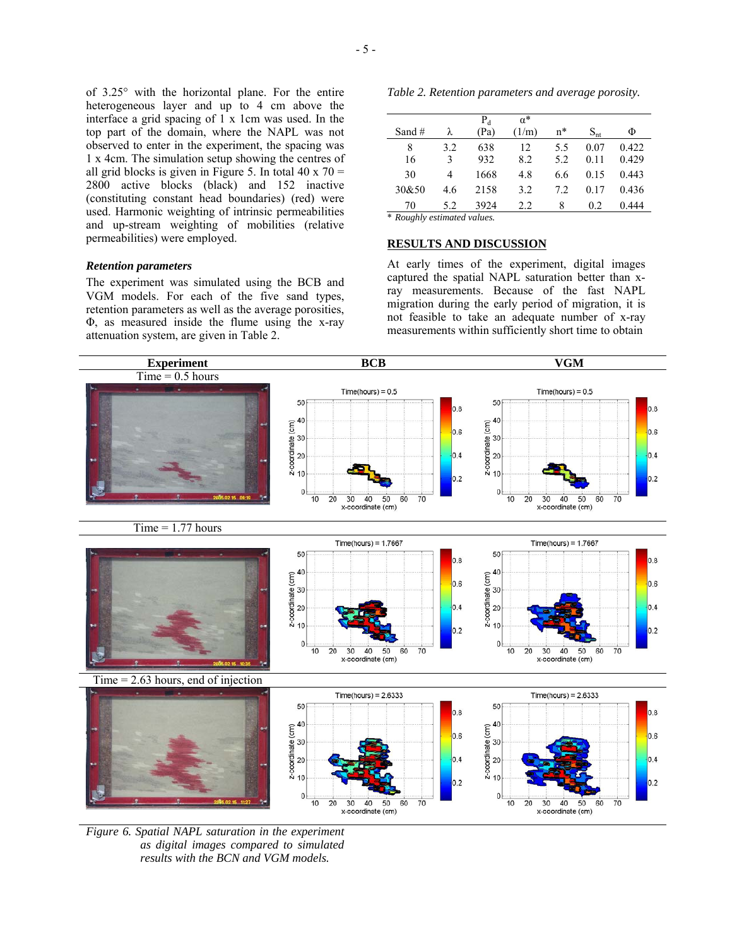of 3.25° with the horizontal plane. For the entire heterogeneous layer and up to 4 cm above the interface a grid spacing of  $1 \times 1$ cm was used. In the top part of the domain, where the NAPL was not observed to enter in the experiment, the spacing was 1 x 4cm. The simulation setup showing the centres of all grid blocks is given in Figure 5. In total 40 x 70 = 2800 active blocks (black) and 152 inactive (constituting constant head boundaries) (red) were used. Harmonic weighting of intrinsic permeabilities and up-stream weighting of mobilities (relative permeabilities) were employed.

## *Retention parameters*

The experiment was simulated using the BCB and VGM models. For each of the five sand types, retention parameters as well as the average porosities, Φ, as measured inside the flume using the x-ray attenuation system, are given in Table 2.

*Table 2. Retention parameters and average porosity.* 

| Sand#                                                   | λ        | $P_d$<br>(Pa) | $\alpha^*$<br>(1/m) | $n^*$      | $S_{nt}$     | Φ              |  |
|---------------------------------------------------------|----------|---------------|---------------------|------------|--------------|----------------|--|
| 8<br>16                                                 | 3.2<br>3 | 638<br>932    | 12<br>8.2           | 5.5<br>5.2 | 0.07<br>0.11 | 0.422<br>0.429 |  |
| 30                                                      | 4        | 1668          | 4.8                 | 6.6        | 0.15         | 0.443          |  |
| 30&50                                                   | 4.6      | 2158          | 3.2                 | 7.2        | 0.17         | 0.436          |  |
| 70                                                      | 5.2      | 3924          | 2.2                 | 8          | 0.2          | 0.444          |  |
| $\pm$ D., 11, $\pm$ 1, $\pm$ 1, $\pm$ 1, $\pm$ 1, $\pm$ |          |               |                     |            |              |                |  |

 $Roughly$  *estimated values.* 

## **RESULTS AND DISCUSSION**

At early times of the experiment, digital images captured the spatial NAPL saturation better than xray measurements. Because of the fast NAPL migration during the early period of migration, it is not feasible to take an adequate number of x-ray measurements within sufficiently short time to obtain



*Figure 6. Spatial NAPL saturation in the experiment as digital images compared to simulated results with the BCN and VGM models.*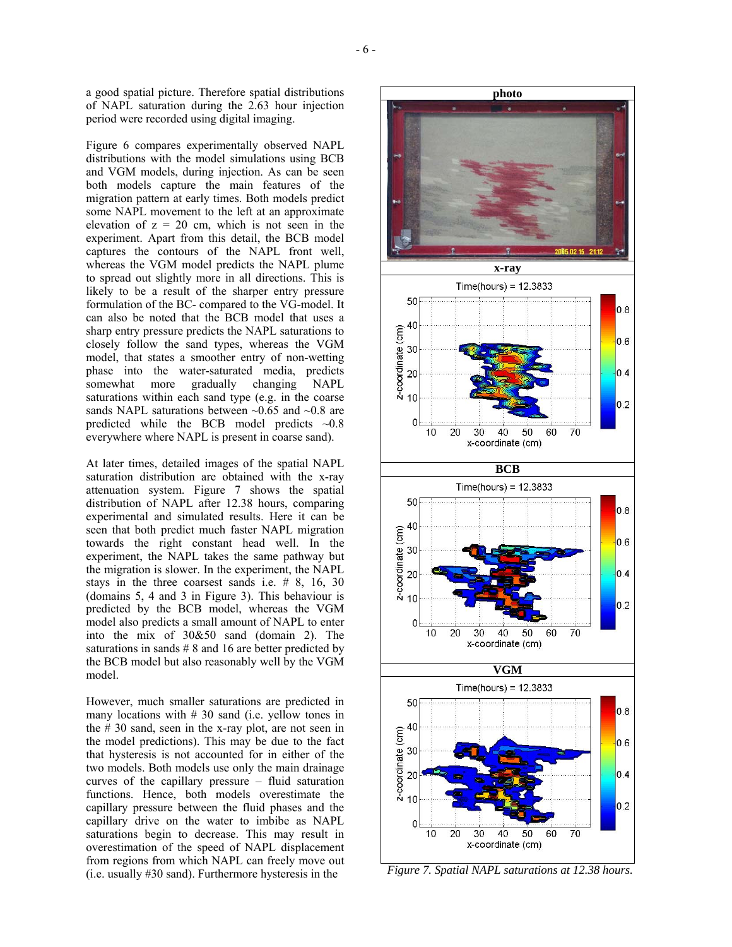a good spatial picture. Therefore spatial distributions of NAPL saturation during the 2.63 hour injection period were recorded using digital imaging.

Figure 6 compares experimentally observed NAPL distributions with the model simulations using BCB and VGM models, during injection. As can be seen both models capture the main features of the migration pattern at early times. Both models predict some NAPL movement to the left at an approximate elevation of  $z = 20$  cm, which is not seen in the experiment. Apart from this detail, the BCB model captures the contours of the NAPL front well, whereas the VGM model predicts the NAPL plume to spread out slightly more in all directions. This is likely to be a result of the sharper entry pressure formulation of the BC- compared to the VG-model. It can also be noted that the BCB model that uses a sharp entry pressure predicts the NAPL saturations to closely follow the sand types, whereas the VGM model, that states a smoother entry of non-wetting phase into the water-saturated media, predicts somewhat more gradually changing NAPL saturations within each sand type (e.g. in the coarse sands NAPL saturations between  $\sim 0.65$  and  $\sim 0.8$  are predicted while the BCB model predicts ~0.8 everywhere where NAPL is present in coarse sand).

At later times, detailed images of the spatial NAPL saturation distribution are obtained with the x-ray attenuation system. Figure 7 shows the spatial distribution of NAPL after 12.38 hours, comparing experimental and simulated results. Here it can be seen that both predict much faster NAPL migration towards the right constant head well. In the experiment, the NAPL takes the same pathway but the migration is slower. In the experiment, the NAPL stays in the three coarsest sands i.e. # 8, 16, 30 (domains 5, 4 and 3 in Figure 3). This behaviour is predicted by the BCB model, whereas the VGM model also predicts a small amount of NAPL to enter into the mix of 30&50 sand (domain 2). The saturations in sands # 8 and 16 are better predicted by the BCB model but also reasonably well by the VGM model.

However, much smaller saturations are predicted in many locations with  $# 30$  sand (i.e. yellow tones in the # 30 sand, seen in the x-ray plot, are not seen in the model predictions). This may be due to the fact that hysteresis is not accounted for in either of the two models. Both models use only the main drainage curves of the capillary pressure – fluid saturation functions. Hence, both models overestimate the capillary pressure between the fluid phases and the capillary drive on the water to imbibe as NAPL saturations begin to decrease. This may result in overestimation of the speed of NAPL displacement from regions from which NAPL can freely move out (i.e. usually #30 sand). Furthermore hysteresis in the



*Figure 7. Spatial NAPL saturations at 12.38 hours.*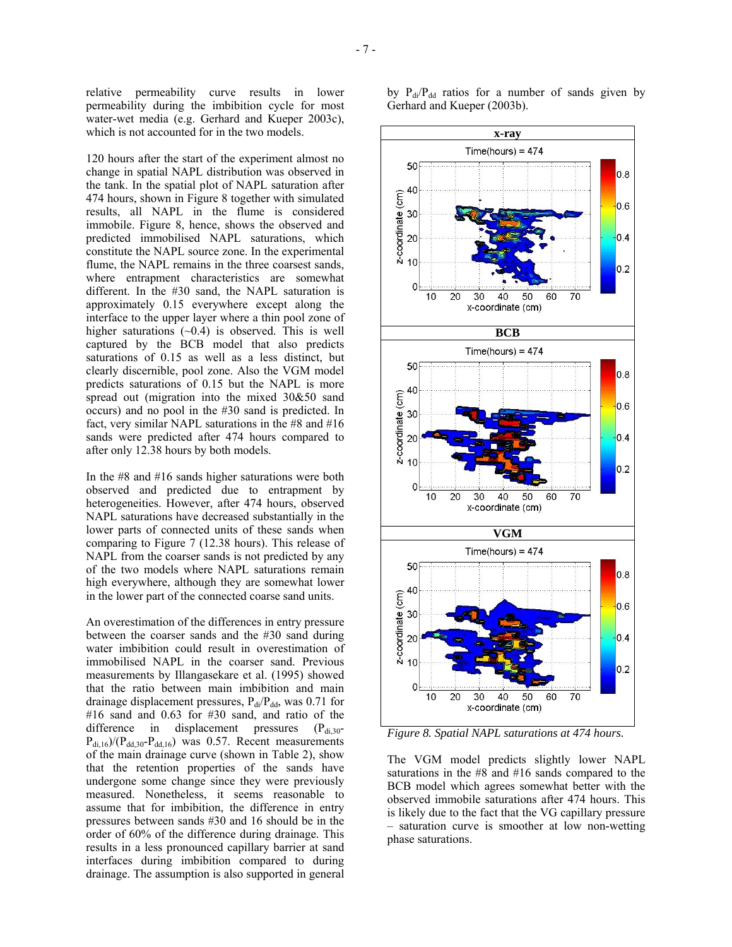relative permeability curve results in lower permeability during the imbibition cycle for most water-wet media (e.g. Gerhard and Kueper 2003c), which is not accounted for in the two models.

120 hours after the start of the experiment almost no change in spatial NAPL distribution was observed in the tank. In the spatial plot of NAPL saturation after 474 hours, shown in Figure 8 together with simulated results, all NAPL in the flume is considered immobile. Figure 8, hence, shows the observed and predicted immobilised NAPL saturations, which constitute the NAPL source zone. In the experimental flume, the NAPL remains in the three coarsest sands, where entrapment characteristics are somewhat different. In the #30 sand, the NAPL saturation is approximately 0.15 everywhere except along the interface to the upper layer where a thin pool zone of higher saturations  $(-0.4)$  is observed. This is well captured by the BCB model that also predicts saturations of 0.15 as well as a less distinct, but clearly discernible, pool zone. Also the VGM model predicts saturations of 0.15 but the NAPL is more spread out (migration into the mixed 30&50 sand occurs) and no pool in the #30 sand is predicted. In fact, very similar NAPL saturations in the #8 and #16 sands were predicted after 474 hours compared to after only 12.38 hours by both models.

In the #8 and #16 sands higher saturations were both observed and predicted due to entrapment by heterogeneities. However, after 474 hours, observed NAPL saturations have decreased substantially in the lower parts of connected units of these sands when comparing to Figure 7 (12.38 hours). This release of NAPL from the coarser sands is not predicted by any of the two models where NAPL saturations remain high everywhere, although they are somewhat lower in the lower part of the connected coarse sand units.

An overestimation of the differences in entry pressure between the coarser sands and the #30 sand during water imbibition could result in overestimation of immobilised NAPL in the coarser sand. Previous measurements by Illangasekare et al. (1995) showed that the ratio between main imbibition and main drainage displacement pressures,  $P_{di}/P_{dd}$ , was 0.71 for #16 sand and 0.63 for #30 sand, and ratio of the difference in displacement pressures  $(P_{di,30}$ - $P_{di,16}/(P_{dd,30}-P_{dd,16})$  was 0.57. Recent measurements of the main drainage curve (shown in Table 2), show that the retention properties of the sands have undergone some change since they were previously measured. Nonetheless, it seems reasonable to assume that for imbibition, the difference in entry pressures between sands #30 and 16 should be in the order of 60% of the difference during drainage. This results in a less pronounced capillary barrier at sand interfaces during imbibition compared to during drainage. The assumption is also supported in general by  $P_{di}/P_{dd}$  ratios for a number of sands given by Gerhard and Kueper (2003b).



*Figure 8. Spatial NAPL saturations at 474 hours.* 

The VGM model predicts slightly lower NAPL saturations in the #8 and #16 sands compared to the BCB model which agrees somewhat better with the observed immobile saturations after 474 hours. This is likely due to the fact that the VG capillary pressure – saturation curve is smoother at low non-wetting phase saturations.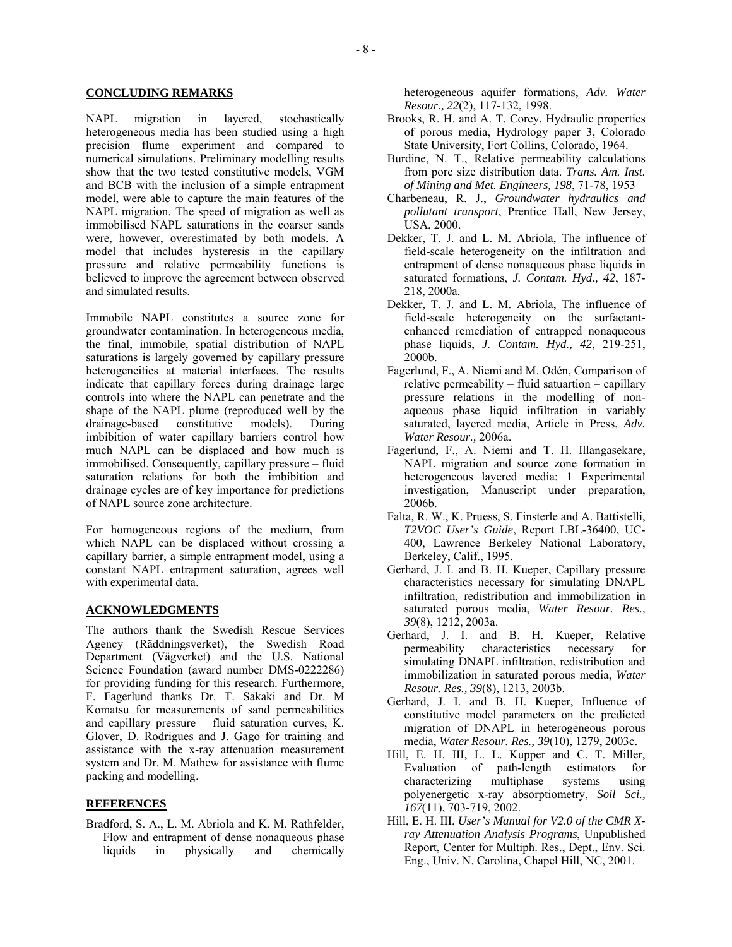## **CONCLUDING REMARKS**

NAPL migration in layered, stochastically heterogeneous media has been studied using a high precision flume experiment and compared to numerical simulations. Preliminary modelling results show that the two tested constitutive models, VGM and BCB with the inclusion of a simple entrapment model, were able to capture the main features of the NAPL migration. The speed of migration as well as immobilised NAPL saturations in the coarser sands were, however, overestimated by both models. A model that includes hysteresis in the capillary pressure and relative permeability functions is believed to improve the agreement between observed and simulated results.

Immobile NAPL constitutes a source zone for groundwater contamination. In heterogeneous media, the final, immobile, spatial distribution of NAPL saturations is largely governed by capillary pressure heterogeneities at material interfaces. The results indicate that capillary forces during drainage large controls into where the NAPL can penetrate and the shape of the NAPL plume (reproduced well by the drainage-based constitutive models). During imbibition of water capillary barriers control how much NAPL can be displaced and how much is immobilised. Consequently, capillary pressure – fluid saturation relations for both the imbibition and drainage cycles are of key importance for predictions of NAPL source zone architecture.

For homogeneous regions of the medium, from which NAPL can be displaced without crossing a capillary barrier, a simple entrapment model, using a constant NAPL entrapment saturation, agrees well with experimental data.

## **ACKNOWLEDGMENTS**

The authors thank the Swedish Rescue Services Agency (Räddningsverket), the Swedish Road Department (Vägverket) and the U.S. National Science Foundation (award number DMS-0222286) for providing funding for this research. Furthermore, F. Fagerlund thanks Dr. T. Sakaki and Dr. M Komatsu for measurements of sand permeabilities and capillary pressure – fluid saturation curves, K. Glover, D. Rodrigues and J. Gago for training and assistance with the x-ray attenuation measurement system and Dr. M. Mathew for assistance with flume packing and modelling.

#### **REFERENCES**

Bradford, S. A., L. M. Abriola and K. M. Rathfelder, Flow and entrapment of dense nonaqueous phase liquids in physically and chemically heterogeneous aquifer formations, *Adv. Water Resour., 22*(2), 117-132, 1998.

- Brooks, R. H. and A. T. Corey, Hydraulic properties of porous media, Hydrology paper 3, Colorado State University, Fort Collins, Colorado, 1964.
- Burdine, N. T., Relative permeability calculations from pore size distribution data. *Trans. Am. Inst. of Mining and Met. Engineers, 198*, 71-78, 1953
- Charbeneau, R. J., *Groundwater hydraulics and pollutant transport*, Prentice Hall, New Jersey, USA, 2000.
- Dekker, T. J. and L. M. Abriola, The influence of field-scale heterogeneity on the infiltration and entrapment of dense nonaqueous phase liquids in saturated formations, *J. Contam. Hyd., 42*, 187- 218, 2000a.
- Dekker, T. J. and L. M. Abriola, The influence of field-scale heterogeneity on the surfactantenhanced remediation of entrapped nonaqueous phase liquids, *J. Contam. Hyd., 42*, 219-251, 2000b.
- Fagerlund, F., A. Niemi and M. Odén, Comparison of relative permeability – fluid satuartion – capillary pressure relations in the modelling of nonaqueous phase liquid infiltration in variably saturated, layered media, Article in Press, *Adv. Water Resour.,* 2006a.
- Fagerlund, F., A. Niemi and T. H. Illangasekare, NAPL migration and source zone formation in heterogeneous layered media: 1 Experimental investigation, Manuscript under preparation, 2006b.
- Falta, R. W., K. Pruess, S. Finsterle and A. Battistelli, *T2VOC User's Guide*, Report LBL-36400, UC-400, Lawrence Berkeley National Laboratory, Berkeley, Calif., 1995.
- Gerhard, J. I. and B. H. Kueper, Capillary pressure characteristics necessary for simulating DNAPL infiltration, redistribution and immobilization in saturated porous media, *Water Resour. Res., 39*(8), 1212, 2003a.
- Gerhard, J. I. and B. H. Kueper, Relative permeability characteristics necessary for simulating DNAPL infiltration, redistribution and immobilization in saturated porous media, *Water Resour. Res., 39*(8), 1213, 2003b.
- Gerhard, J. I. and B. H. Kueper, Influence of constitutive model parameters on the predicted migration of DNAPL in heterogeneous porous media, *Water Resour. Res., 39*(10), 1279, 2003c.
- Hill, E. H. III, L. L. Kupper and C. T. Miller, Evaluation of path-length estimators for characterizing multiphase systems using polyenergetic x-ray absorptiometry, *Soil Sci., 167*(11), 703-719, 2002.
- Hill, E. H. III, *User's Manual for V2.0 of the CMR Xray Attenuation Analysis Programs*, Unpublished Report, Center for Multiph. Res., Dept., Env. Sci. Eng., Univ. N. Carolina, Chapel Hill, NC, 2001.